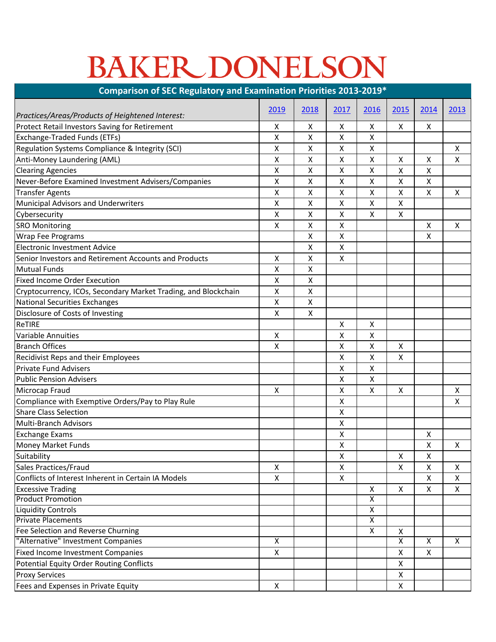## BAKER DONELSON

| Comparison of SEC Regulatory and Examination Priorities 2013-2019* |      |                    |                           |                         |                         |      |                    |  |  |  |  |
|--------------------------------------------------------------------|------|--------------------|---------------------------|-------------------------|-------------------------|------|--------------------|--|--|--|--|
|                                                                    | 2019 | 2018               | 2017                      | 2016                    | 2015                    | 2014 | 2013               |  |  |  |  |
| Practices/Areas/Products of Heightened Interest:                   |      |                    |                           |                         |                         |      |                    |  |  |  |  |
| Protect Retail Investors Saving for Retirement                     | x    | X                  | X                         | X                       | X                       | X    |                    |  |  |  |  |
| Exchange-Traded Funds (ETFs)                                       | X    | Χ                  | Χ                         | Χ                       |                         |      |                    |  |  |  |  |
| Regulation Systems Compliance & Integrity (SCI)                    | X    | Χ                  | X                         | Χ                       |                         |      | X                  |  |  |  |  |
| Anti-Money Laundering (AML)                                        | Χ    | Χ                  | X                         | $\pmb{\mathsf{X}}$      | $\pmb{\mathsf{X}}$      | X    | X                  |  |  |  |  |
| <b>Clearing Agencies</b>                                           | Χ    | Χ                  | Χ                         | Χ                       | $\pmb{\mathsf{X}}$      | X    |                    |  |  |  |  |
| Never-Before Examined Investment Advisers/Companies                | Χ    | X                  | X                         | $\pmb{\mathsf{X}}$      | $\pmb{\mathsf{X}}$      | X    |                    |  |  |  |  |
| <b>Transfer Agents</b>                                             | Χ    | Χ                  | Χ                         | Χ                       | X                       | X    | X                  |  |  |  |  |
| Municipal Advisors and Underwriters                                | Χ    | Χ                  | $\pmb{\mathsf{X}}$        | $\pmb{\mathsf{X}}$      | $\pmb{\mathsf{X}}$      |      |                    |  |  |  |  |
| Cybersecurity                                                      | X    | Χ                  | X                         | X                       | $\pmb{\times}$          |      |                    |  |  |  |  |
| <b>SRO Monitoring</b>                                              | X    | Χ                  | Χ                         |                         |                         | X    | X                  |  |  |  |  |
| <b>Wrap Fee Programs</b>                                           |      | Χ                  | $\pmb{\mathsf{X}}$        |                         |                         | X    |                    |  |  |  |  |
| <b>Electronic Investment Advice</b>                                |      | х                  | X                         |                         |                         |      |                    |  |  |  |  |
| Senior Investors and Retirement Accounts and Products              | X    | Χ                  | Χ                         |                         |                         |      |                    |  |  |  |  |
| <b>Mutual Funds</b>                                                | Χ    | Χ                  |                           |                         |                         |      |                    |  |  |  |  |
| <b>Fixed Income Order Execution</b>                                | Χ    | Χ                  |                           |                         |                         |      |                    |  |  |  |  |
| Cryptocurrency, ICOs, Secondary Market Trading, and Blockchain     | X    | Χ                  |                           |                         |                         |      |                    |  |  |  |  |
| <b>National Securities Exchanges</b>                               | Χ    | $\pmb{\mathsf{X}}$ |                           |                         |                         |      |                    |  |  |  |  |
| Disclosure of Costs of Investing                                   | Χ    | $\pmb{\mathsf{X}}$ |                           |                         |                         |      |                    |  |  |  |  |
| ReTIRE                                                             |      |                    | Χ                         | Χ                       |                         |      |                    |  |  |  |  |
| <b>Variable Annuities</b>                                          | X    |                    | Χ                         | $\pmb{\mathsf{X}}$      |                         |      |                    |  |  |  |  |
| <b>Branch Offices</b>                                              | X    |                    | X                         | $\mathsf{\chi}$         | X                       |      |                    |  |  |  |  |
| Recidivist Reps and their Employees                                |      |                    | Χ                         | Χ                       | X                       |      |                    |  |  |  |  |
| <b>Private Fund Advisers</b>                                       |      |                    | X                         | $\pmb{\mathsf{X}}$      |                         |      |                    |  |  |  |  |
| <b>Public Pension Advisers</b>                                     |      |                    | Χ                         | Χ                       |                         |      |                    |  |  |  |  |
| Microcap Fraud                                                     | X    |                    | X                         | $\mathsf{\chi}$         | X                       |      | $\pmb{\mathsf{X}}$ |  |  |  |  |
| Compliance with Exemptive Orders/Pay to Play Rule                  |      |                    | Χ                         |                         |                         |      | X                  |  |  |  |  |
| <b>Share Class Selection</b>                                       |      |                    | Χ                         |                         |                         |      |                    |  |  |  |  |
| Multi-Branch Advisors                                              |      |                    | X                         |                         |                         |      |                    |  |  |  |  |
| <b>Exchange Exams</b>                                              |      |                    | Χ                         |                         |                         | X    |                    |  |  |  |  |
| Money Market Funds                                                 |      |                    | X                         |                         |                         | Χ    | X                  |  |  |  |  |
| Suitability                                                        |      |                    | $\pmb{\times}$            |                         | X                       | X    |                    |  |  |  |  |
| Sales Practices/Fraud                                              | X    |                    | $\boldsymbol{\mathsf{X}}$ |                         | X                       | X    | X                  |  |  |  |  |
| Conflicts of Interest Inherent in Certain IA Models                | X    |                    | X                         |                         |                         | X    | X                  |  |  |  |  |
| <b>Excessive Trading</b>                                           |      |                    |                           | X                       | X                       | X    | X                  |  |  |  |  |
| <b>Product Promotion</b>                                           |      |                    |                           | $\overline{\mathsf{x}}$ |                         |      |                    |  |  |  |  |
| <b>Liquidity Controls</b>                                          |      |                    |                           | $\pmb{\mathsf{X}}$      |                         |      |                    |  |  |  |  |
| <b>Private Placements</b>                                          |      |                    |                           | $\overline{\mathsf{x}}$ |                         |      |                    |  |  |  |  |
| Fee Selection and Reverse Churning                                 |      |                    |                           | $\overline{X}$          | X                       |      |                    |  |  |  |  |
| "Alternative" Investment Companies                                 | X    |                    |                           |                         | $\overline{\mathsf{x}}$ | X    | X                  |  |  |  |  |
| <b>Fixed Income Investment Companies</b>                           | X    |                    |                           |                         | X                       | X    |                    |  |  |  |  |
| <b>Potential Equity Order Routing Conflicts</b>                    |      |                    |                           |                         | X                       |      |                    |  |  |  |  |
| <b>Proxy Services</b>                                              |      |                    |                           |                         | $\pmb{\mathsf{X}}$      |      |                    |  |  |  |  |
| Fees and Expenses in Private Equity                                | X    |                    |                           |                         | X                       |      |                    |  |  |  |  |